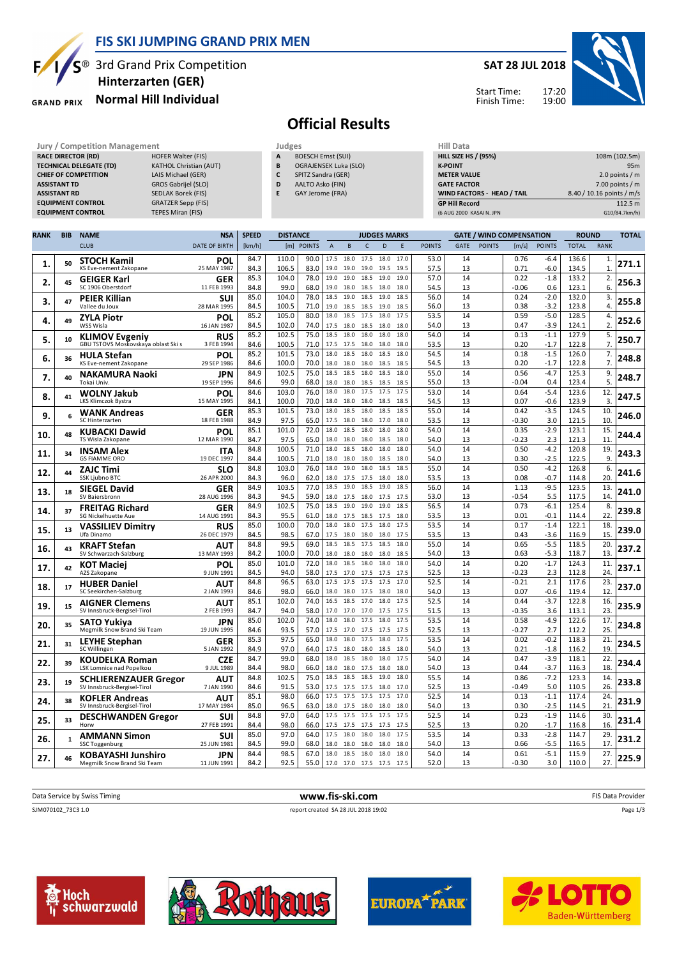

### **FIS SKI JUMPING GRAND PRIX MEN**

S<sup>®</sup> 3rd Grand Prix Competition  **Hinterzarten (GER)**

#### **Normal Hill Individual GRAND PRIX**

#### **SAT 28 JUL 2018**

Start Time: Finish Time:



# **Official Results**

|             | <b>Jury / Competition Management</b>                  |                                |                               |              |                 |                              | Judges |                          |           |                     |      |                | Hill Data             |             |                             |                                 |                           |              |             |               |
|-------------|-------------------------------------------------------|--------------------------------|-------------------------------|--------------|-----------------|------------------------------|--------|--------------------------|-----------|---------------------|------|----------------|-----------------------|-------------|-----------------------------|---------------------------------|---------------------------|--------------|-------------|---------------|
|             |                                                       | <b>RACE DIRECTOR (RD)</b>      | <b>HOFER Walter (FIS)</b>     |              | A               | <b>BOESCH Ernst (SUI)</b>    |        |                          |           |                     |      |                |                       |             | <b>HILL SIZE HS / (95%)</b> |                                 |                           |              |             | 108m (102.5m) |
|             |                                                       | <b>TECHNICAL DELEGATE (TD)</b> | <b>KATHOL Christian (AUT)</b> |              | B               | <b>OGRAJENSEK Luka (SLO)</b> |        |                          |           |                     |      | <b>K-POINT</b> |                       |             |                             | 95 <sub>m</sub>                 |                           |              |             |               |
|             |                                                       | <b>CHIEF OF COMPETITION</b>    | LAIS Michael (GER)            |              | C               | SPITZ Sandra (GER)           |        |                          |           |                     |      |                | <b>METER VALUE</b>    |             |                             |                                 | 2.0 points $/m$           |              |             |               |
|             | <b>ASSISTANT TD</b>                                   |                                | GROS Gabrijel (SLO)           |              | D               | AALTO Asko (FIN)             |        |                          |           |                     |      |                | <b>GATE FACTOR</b>    |             |                             |                                 | 7.00 points $/m$          |              |             |               |
|             | <b>SEDLAK Borek (FIS)</b><br><b>ASSISTANT RD</b>      |                                |                               |              | E               | GAY Jerome (FRA)             |        |                          |           |                     |      |                |                       |             | WIND FACTORS - HEAD / TAIL  |                                 | 8.40 / 10.16 points / m/s |              |             |               |
|             | <b>GRATZER Sepp (FIS)</b><br><b>EQUIPMENT CONTROL</b> |                                |                               |              |                 |                              |        |                          |           |                     |      |                | <b>GP Hill Record</b> |             |                             |                                 |                           |              |             | 112.5 m       |
|             | <b>EQUIPMENT CONTROL</b><br>TEPES Miran (FIS)         |                                |                               |              |                 |                              |        |                          |           |                     |      |                |                       |             | (6 AUG 2000 KASAI N. JPN    |                                 |                           |              |             | G10/84.7km/h) |
|             |                                                       |                                |                               |              |                 |                              |        |                          |           |                     |      |                |                       |             |                             |                                 |                           |              |             |               |
| <b>RANK</b> | <b>BIB</b>                                            | <b>NAME</b>                    | <b>NSA</b>                    | <b>SPEED</b> | <b>DISTANCE</b> |                              |        |                          |           | <b>JUDGES MARKS</b> |      |                |                       |             |                             | <b>GATE / WIND COMPENSATION</b> |                           | <b>ROUND</b> |             | <b>TOTAL</b>  |
|             |                                                       | <b>CLUB</b>                    | <b>DATE OF BIRTH</b>          | [km/h]       |                 | [m] POINTS                   | A      |                          |           | D                   | F    | <b>POINTS</b>  |                       | <b>GATE</b> | <b>POINTS</b>               | [m/s]                           | <b>POINTS</b>             | <b>TOTAL</b> | <b>RANK</b> |               |
|             | 50                                                    | <b>STOCH Kamil</b>             | <b>POL</b>                    | 84.7         | 110.0           | 90.0                         | 17.5   | 18.0                     | 17.5      | 18.0                | 17.0 | 53.0           |                       | 14          |                             | 0.76                            | $-6.4$                    | 136.6        |             |               |
| 1.          |                                                       | KS Eve-nement Zakopane         | 25 MAY 1987                   | 84.3         | 106.5           | 83.0                         |        | 19.0 19.0 19.0 19.5 19.5 |           |                     |      | 57.5           |                       | 13          |                             | 0.71                            | $-6.0$                    | 134.5        |             | 271.1         |
| 2.          | 45                                                    | <b>GEIGER Karl</b>             | <b>GER</b>                    | 85.3         | 104.0           | 78.0                         | 19.0   |                          | 19.0 18.5 | 19.0                | 19.0 | 57.0           |                       | 14          |                             | 0.22                            | $-1.8$                    | 133.2        |             | 256.3         |
|             |                                                       | SC 1906 Oberstdorf             | 11 FEB 1993                   | 84.8         | 99.0            | 68.0                         | 19.0   |                          |           | 18.0 18.5 18.0 18.0 |      | 54.5           |                       | 13          |                             | $-0.06$                         | 0.6                       | 123.1        | 6.          |               |
| 3.          | 47                                                    | <b>PEIER Killian</b>           | <b>SUI</b>                    | 85.0         | 104.0           | 78.0                         | 18.5   |                          | 19.0 18.5 | 19.0                | 18.5 | 56.0           |                       | 14          |                             | 0.24                            | $-2.0$                    | 132.0        | 3.          | 255.8         |
|             |                                                       | Vallee du Joux                 | 28 MAR 1995                   | 84.5         | 100.5           | 71.0                         |        | 19.0 18.5 18.5 19.0 18.5 |           |                     |      | 56.0           |                       | 13          |                             | 0.38                            | $-3.2$                    | 123.8        | 4.          |               |
| 4.          | 49                                                    | <b>ZYLA Piotr</b>              | <b>POL</b>                    | 85.2         | 105.0           | 80.0                         | 18.0   |                          | 18.5 17.5 | 18.0                | 17.5 | 53.5           |                       | 14          |                             | 0.59                            | $-5.0$                    | 128.5        | 4.          | 252.6         |
|             |                                                       | WSS Wisla                      | 16 JAN 1987                   | 84.5         | 102.0           | 74.0                         | 17.5   |                          |           | 18.0 18.5 18.0      | 18.0 | 54.0           |                       | 13          |                             | 0.47                            | $-3.9$                    | 124.1        | 2.          |               |
| 5.          | 10                                                    | <b>KLIMOV Evgeniy</b>          | <b>RUS</b>                    | 85.2         | 102.5           | 75.0                         | 18.5   | 18.0                     | 18.0      | 18.0                | 18.0 | 54.0           |                       | 14          |                             | 0.13                            | $-1.1$                    | 127.9        |             | 250.7         |
|             |                                                       |                                |                               |              |                 |                              |        |                          |           |                     |      |                |                       |             |                             |                                 |                           |              |             |               |

| 4.  | 49           | <b>ZYLA Piotr</b>                                            | POL                       | 85.2         | 105.0          | 80.0         | 18.0<br>18.5 17.5                            | 18.0<br>17.5                 | 53.5         | 14       | 0.59            | $-5.0$           | 128.5          | 4.                      | 252.6 |
|-----|--------------|--------------------------------------------------------------|---------------------------|--------------|----------------|--------------|----------------------------------------------|------------------------------|--------------|----------|-----------------|------------------|----------------|-------------------------|-------|
|     |              | WSS Wisla                                                    | 16 JAN 1987               | 84.5         | 102.0          | 74.0         | 18.0 18.5<br>17.5                            | 18.0<br>18.0                 | 54.0         | 13       | 0.47            | $-3.9$           | 124.1          | 2.                      |       |
| 5.  | 10           | <b>KLIMOV Evgeniy</b><br>GBU TSTOVS Moskovskava oblast Ski s | <b>RUS</b><br>3 FEB 1994  | 85.2<br>84.6 | 102.5<br>100.5 | 75.0<br>71.0 | 18.5<br>18.0<br>18.0<br>17.5<br>17.5 18.0    | 18.0<br>18.0<br>18.0<br>18.0 | 54.0<br>53.5 | 14<br>13 | 0.13<br>0.20    | $-1.1$<br>$-1.7$ | 127.9<br>122.8 | 5.<br>7 <sub>1</sub>    | 250.7 |
|     |              | <b>HULA Stefan</b>                                           | POL                       | 85.2         | 101.5          | 73.0         | 18.0<br>18.5<br>18.0                         | 18.5<br>18.0                 | 54.5         | 14       | 0.18            | $-1.5$           | 126.0          | 7.                      |       |
| 6.  | 36           | KS Eve-nement Zakopane                                       | 29 SEP 1986               | 84.6         | 100.0          | 70.0         | 18.0<br>18.0 18.0                            | 18.5<br>18.5                 | 54.5         | 13       | 0.20            | $-1.7$           | 122.8          | 7.                      | 248.8 |
| 7.  | 40           | NAKAMURA Naoki                                               | JPN                       | 84.9         | 102.5          | 75.0         | 18.5<br>18.5<br>18.0                         | 18.5<br>18.0                 | 55.0         | 14       | 0.56            | $-4.7$           | 125.3          | 9.                      | 248.7 |
|     |              | Tokai Univ.                                                  | 19 SEP 1996               | 84.6         | 99.0           | 68.0         | 18.0<br>18.0 18.5                            | 18.5<br>18.5                 | 55.0         | 13       | $-0.04$         | 0.4              | 123.4          | 5                       |       |
| 8.  | 41           | <b>WOLNY Jakub</b><br>LKS Klimczok Bystra                    | POL<br>15 MAY 1995        | 84.6<br>84.1 | 103.0<br>100.0 | 76.0<br>70.0 | 18.0<br>18.0<br>17.5<br>18.0<br>18.0<br>18.0 | 17.5<br>17.5<br>18.5<br>18.5 | 53.0<br>54.5 | 14<br>13 | 0.64<br>0.07    | $-5.4$<br>$-0.6$ | 123.6<br>123.9 | 12.<br>$\overline{3}$ . | 247.5 |
|     |              | <b>WANK Andreas</b>                                          | GER                       | 85.3         | 101.5          | 73.0         | 18.5<br>18.0<br>18.0                         | 18.5<br>18.5                 | 55.0         | 14       | 0.42            | $-3.5$           | 124.5          | 10.                     |       |
| 9.  | 6            | <b>SC Hinterzarten</b>                                       | 18 FEB 1988               | 84.9         | 97.5           | 65.0         | 17.5<br>18.0 18.0                            | 17.0<br>18.0                 | 53.5         | 13       | $-0.30$         | 3.0              | 121.5          | 10.                     | 246.0 |
| 10. | 48           | <b>KUBACKI Dawid</b>                                         | POL                       | 85.1         | 101.0          | 72.0         | 18.0<br>18.5<br>18.0                         | 18.0<br>18.0                 | 54.0         | 14       | 0.35            | $-2.9$           | 123.1          | 15.                     | 244.4 |
|     |              | TS Wisla Zakopane                                            | 12 MAR 1990               | 84.7         | 97.5           | 65.0         | 18.0<br>18.0<br>18.0                         | 18.5<br>18.0                 | 54.0         | 13       | $-0.23$         | 2.3              | 121.3          | 11                      |       |
| 11. | 34           | <b>INSAM Alex</b>                                            | ITA                       | 84.8         | 100.5          | 71.0         | 18.0<br>18.5<br>18.0                         | 18.0<br>18.0                 | 54.0         | 14       | 0.50            | $-4.2$           | 120.8          | 19                      | 243.3 |
|     |              | <b>GS FIAMME ORO</b>                                         | 19 DEC 1997               | 84.4         | 100.5          | 71.0         | 18.0<br>18.0 18.0                            | 18.5<br>18.0                 | 54.0         | 13       | 0.30            | $-2.5$           | 122.5          | 9.                      |       |
| 12. | 44           | ZAJC Timi                                                    | SLO                       | 84.8         | 103.0          | 76.0         | 18.0<br>19.0<br>18.0                         | 18.5<br>18.5                 | 55.0         | 14       | 0.50            | $-4.2$           | 126.8          | 6                       | 241.6 |
|     |              | <b>SSK Ljubno BTC</b>                                        | 26 APR 2000               | 84.3<br>84.9 | 96.0<br>103.5  | 62.0<br>77.0 | 18.0<br>17.5 17.5<br>19.0<br>18.5            | 18.0<br>18.0<br>19.0<br>18.5 | 53.5<br>56.0 | 13<br>14 | 0.08<br>1.13    | $-0.7$<br>$-9.5$ | 114.8          | 20<br>13.               |       |
| 13. | 18           | <b>SIEGEL David</b><br>SV Baiersbronn                        | <b>GER</b><br>28 AUG 1996 | 84.3         | 94.5           | 59.0         | 18.5<br>18.0<br>17.5 18.0                    | 17.5<br>17.5                 | 53.0         | 13       | $-0.54$         | 5.5              | 123.5<br>117.5 | 14                      | 241.0 |
|     |              |                                                              |                           | 84.9         | 102.5          | 75.0         | 18.5<br>19.0<br>19.0                         | 19.0<br>18.5                 | 56.5         | 14       | 0.73            | $-6.1$           | 125.4          | 8.                      |       |
| 14. | 37           | <b>FREITAG Richard</b><br><b>SG Nickelhuette Aue</b>         | <b>GER</b><br>14 AUG 1991 | 84.3         | 95.5           | 61.0         | 18.0<br>17.5 18.5                            | 17.5<br>18.0                 | 53.5         | 13       | 0.01            | $-0.1$           | 114.4          | 22                      | 239.8 |
|     |              | <b>VASSILIEV Dimitry</b>                                     | RUS                       | 85.0         | 100.0          | 70.0         | 18.0<br>18.0<br>17.5                         | 18.0<br>17.5                 | 53.5         | 14       | 0.17            | $-1.4$           | 122.1          | 18.                     |       |
| 15. | 13           | Ufa Dinamo                                                   | 26 DEC 1979               | 84.5         | 98.5           | 67.0         | 17.5<br>18.0 18.0                            | 18.0<br>17.5                 | 53.5         | 13       | 0.43            | $-3.6$           | 116.9          | 15                      | 239.0 |
|     |              | <b>KRAFT Stefan</b>                                          | <b>AUT</b>                | 84.8         | 99.5           | 69.0         | 18.5<br>18.5<br>17.5                         | 18.5<br>18.0                 | 55.0         | 14       | 0.65            | $-5.5$           | 118.5          | 20.                     |       |
| 16. | 43           | SV Schwarzach-Salzburg                                       | 13 MAY 1993               | 84.2         | 100.0          | 70.0         | 18.0<br>18.0<br>18.0                         | 18.0<br>18.5                 | 54.0         | 13       | 0.63            | $-5.3$           | 118.7          | 13.                     | 237.2 |
| 17. | 42           | <b>KOT Maciei</b>                                            | POL                       | 85.0         | 101.0          | 72.0         | 18.0<br>18.5<br>18.0                         | 18.0<br>18.0                 | 54.0         | 14       | 0.20            | $-1.7$           | 124.3          | 11.                     | 237.1 |
|     |              | AZS Zakopane                                                 | 9 JUN 1991                | 84.5         | 94.0           | 58.0         | 17.5<br>17.0 17.5                            | 17.5<br>17.5                 | 52.5         | 13       | $-0.23$         | 2.3              | 112.8          | 24                      |       |
| 18. | 17           | <b>HUBER Daniel</b>                                          | AUT                       | 84.8         | 96.5           | 63.0         | 17.5<br>17.5<br>17.5                         | 17.5<br>17.0                 | 52.5         | 14       | $-0.21$         | 2.1              | 117.6          | 23                      | 237.0 |
|     |              | SC Seekirchen-Salzburg                                       | 2 JAN 1993                | 84.6         | 98.0           | 66.0         | 18.0<br>18.0 17.5                            | 18.0<br>18.0                 | 54.0         | 13       | 0.07            | $-0.6$           | 119.4          | 12                      |       |
| 19. | 15           | <b>AIGNER Clemens</b>                                        | AUT                       | 85.1         | 102.0          | 74.0         | 18.5 17.0<br>16.5                            | 18.0<br>17.5                 | 52.5         | 14       | 0.44            | $-3.7$           | 122.8          | 16.                     | 235.9 |
|     |              | SV Innsbruck-Bergisel-Tirol                                  | 2 FEB 1993                | 84.7         | 94.0<br>102.0  | 58.0<br>74.0 | 17.0<br>17.0<br>17.0<br>18.0<br>18.0<br>17.5 | 17.5<br>17.5<br>18.0<br>17.5 | 51.5<br>53.5 | 13<br>14 | $-0.35$         | 3.6<br>$-4.9$    | 113.1          | 23<br>17.               |       |
| 20. | 35           | SATO Yukiva<br>Megmilk Snow Brand Ski Team                   | JPN<br>19 JUN 1995        | 85.0<br>84.6 | 93.5           | 57.0         | 17.5<br>17.0 17.5                            | 17.5<br>17.5                 | 52.5         | 13       | 0.58<br>$-0.27$ | 2.7              | 122.6<br>112.2 | 25                      | 234.8 |
|     |              |                                                              |                           | 85.3         | 97.5           | 65.0         | 18.0<br>18.0<br>17.5                         | 18.0<br>17.5                 | 53.5         | 14       | 0.02            | $-0.2$           | 118.3          | 21.                     |       |
| 21. | 31           | <b>LEYHE Stephan</b><br>SC Willingen                         | <b>GER</b><br>5 JAN 1992  | 84.9         | 97.0           | 64.0         | 17.5<br>18.0 18.0                            | 18.0<br>18.5                 | 54.0         | 13       | 0.21            | $-1.8$           | 116.2          | 19                      | 234.5 |
|     |              | <b>KOUDELKA Roman</b>                                        | <b>CZE</b>                | 84.7         | 99.0           | 68.0         | 18.5<br>18.0<br>18.0                         | 18.0<br>17.5                 | 54.0         | 14       | 0.47            | $-3.9$           | 118.1          | 22                      |       |
| 22. | 39           | LSK Lomnice nad Popelkou                                     | 9 JUL 1989                | 84.4         | 98.0           | 66.0         | 18.0<br>18.0 17.5                            | 18.0<br>18.0                 | 54.0         | 13       | 0.44            | $-3.7$           | 116.3          | 18                      | 234.4 |
|     |              | <b>SCHLIERENZAUER Gregor</b>                                 | <b>AUT</b>                | 84.8         | 102.5          | 75.0         | 18.5<br>18.5 18.5                            | 19.0<br>18.0                 | 55.5         | 14       | 0.86            | $-7.2$           | 123.3          | 14                      |       |
| 23. | 19           | SV Innsbruck-Bergisel-Tirol                                  | 7 JAN 1990                | 84.6         | 91.5           | 53.0         | 17.5<br>17.5 17.5                            | 18.0<br>17.0                 | 52.5         | 13       | $-0.49$         | 5.0              | 110.5          | 26.                     | 233.8 |
| 24. | 38           | <b>KOFLER Andreas</b>                                        | AUT                       | 85.1         | 98.0           | 66.0         | 17.5<br>17.5<br>17.5                         | 17.5<br>17.0                 | 52.5         | 14       | 0.13            | $-1.1$           | 117.4          | 24.                     | 231.9 |
|     |              | SV Innsbruck-Bergisel-Tirol                                  | 17 MAY 1984               | 85.0         | 96.5           | 63.0         | 17.5 18.0<br>18.0                            | 18.0<br>18.0                 | 54.0         | 13       | 0.30            | $-2.5$           | 114.5          | 21                      |       |
| 25. | 33           | <b>DESCHWANDEN Gregor</b>                                    | SUI                       | 84.8         | 97.0           | 64.0         | 17.5<br>17.5<br>17.5                         | 17.5<br>17.5                 | 52.5         | 14       | 0.23            | $-1.9$           | 114.6          | 30.                     | 231.4 |
|     |              | Horw                                                         | 27 FEB 1991               | 84.4         | 98.0           | 66.0         | 17.5<br>17.5 17.5                            | 17.5<br>17.5                 | 52.5         | 13       | 0.20            | $-1.7$           | 116.8          | 16.                     |       |
| 26. | $\mathbf{1}$ | <b>AMMANN Simon</b>                                          | SUI                       | 85.0         | 97.0           | 64.0         | 17.5<br>18.0<br>18.0                         | 18.0<br>17.5                 | 53.5         | 14       | 0.33            | $-2.8$           | 114.7          | 29                      | 231.2 |
|     |              | <b>SSC Toggenburg</b>                                        | 25 JUN 1981               | 84.5         | 99.0<br>98.5   | 68.0<br>67.0 | 18.0<br>18.0<br>18.0<br>18.0<br>18.5<br>18.0 | 18.0<br>18.0<br>18.0<br>18.0 | 54.0<br>54.0 | 13<br>14 | 0.66<br>0.61    | $-5.5$<br>$-5.1$ | 116.5<br>115.9 | 17<br>27.               |       |
| 27. |              | KOBAYASHI Junshiro<br>Megmilk Snow Brand Ski Team            | JPN<br>11 JUN 1991        | 84.4<br>84.2 | 92.5           | 55.0         | 17.0 17.0 17.5 17.5 17.5                     |                              | 52.0         | 13       | $-0.30$         | 3.0              | 110.0          | 27.                     | 225.9 |
|     |              |                                                              |                           |              |                |              |                                              |                              |              |          |                 |                  |                |                         |       |

| Data Service by Swiss Timing | www.fis-ski.com                     | FIS Data Provider |
|------------------------------|-------------------------------------|-------------------|
| SJM070102 73C3 1.0           | report created SA 28 JUL 2018 19:02 | Page 1/3          |
|                              |                                     |                   |
|                              |                                     |                   |







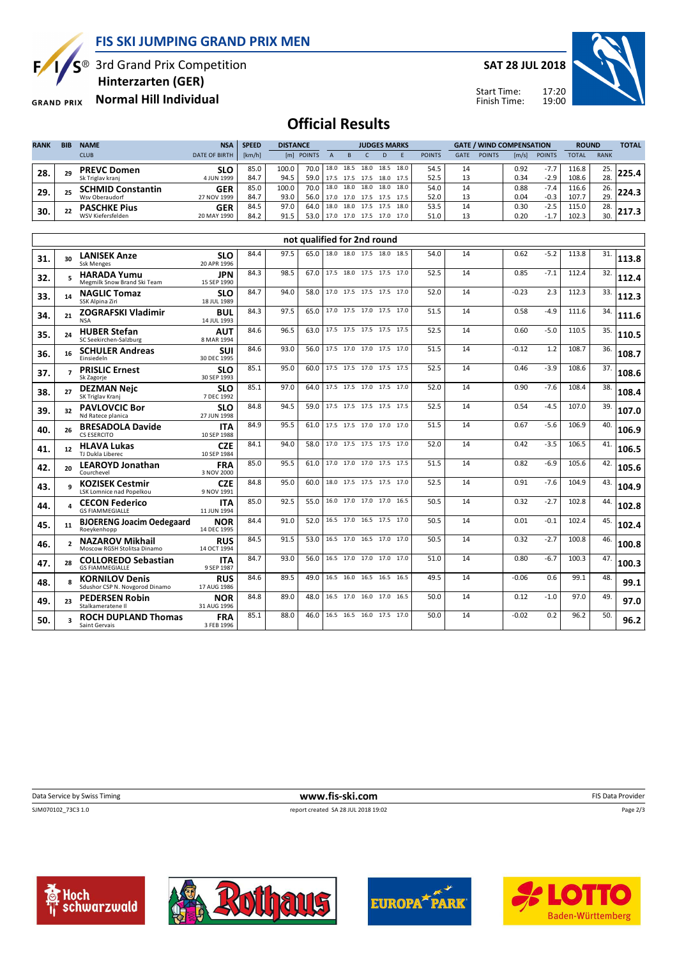**FIS SKI JUMPING GRAND PRIX MEN**

S<sup>®</sup> 3rd Grand Prix Competition

 **Hinterzarten (GER)**

**Normal Hill Individual GRAND PRIX** 

Б,

**SAT 28 JUL 2018**



17:20 19:00 Start Time: Finish Time:

## **Official Results**

| <b>RANK</b> | <b>BIB</b> | <b>NAME</b>              | <b>NSA</b>           | <b>SPEED</b> | <b>DISTANCE</b> |                            |      | <b>JUDGES MARKS</b>             |      |           |      | <b>GATE / WIND COMPENSATION</b> |             |               | <b>ROUND</b> |               | <b>TOTAL</b> |             |  |
|-------------|------------|--------------------------|----------------------|--------------|-----------------|----------------------------|------|---------------------------------|------|-----------|------|---------------------------------|-------------|---------------|--------------|---------------|--------------|-------------|--|
|             |            | <b>CLUB</b>              | <b>DATE OF BIRTH</b> | [km/h]       |                 | [m] POINTS                 |      |                                 |      |           |      | <b>POINTS</b>                   | <b>GATE</b> | <b>POINTS</b> | [m/s]        | <b>POINTS</b> | <b>TOTAL</b> | <b>RANK</b> |  |
| 28          | 29         | <b>PREVC Domen</b>       | SLO                  | 85.0         | 100.0           | 70.0   18.0 18.5 18.0 18.5 |      |                                 |      |           | 18.0 | 54.5                            | 14          |               | 0.92         | $-7.7$        | 116.8        | 25.         |  |
|             |            | Sk Triglav kranj         | 4 JUN 1999           | 84.7         | 94.5            | 59.0                       |      | 17.5 17.5 17.5                  |      | 18.0 17.5 |      | 52.5                            |             |               | 0.34         | $-2.9$        | 108.6        | 28.         |  |
| 29.         | 25         | <b>SCHMID Constantin</b> | <b>GER</b>           | 85.0         | 100.0           | 70.0                       |      | 18.0 18.0 18.0 18.0             |      |           | 18.0 | 54.0                            | 14          |               | 0.88         | $-7.4$        | 116.6        | 26.         |  |
|             |            | Wsy Oberaudorf           | 27 NOV 1999          | 84.7         | 93.0            |                            |      | 56.0   17.0 17.0 17.5 17.5 17.5 |      |           |      | 52.0                            | 13          |               | 0.04         | $-0.3$        | 107.7        | 29.         |  |
| 30.         | 22         | <b>PASCHKE Pius</b>      | GER                  | 84.5         | 97.0            | 64.0                       | 13.0 | 18.0                            | 17.5 | 17.5      | 18.0 | 53.5                            | 14          |               | 0.30         | $-2.5$        | 115.0        | 28.         |  |
|             |            | WSV Kiefersfelden        | 20 MAY 1990          | 84.2         | 91.5            | 53.0                       |      | 17.0 17.0                       | 17.5 | 17.0      | 17.0 | 51.0                            |             |               | 0.20         | -1.7          | 102.3        | 30.         |  |

| not qualified for 2nd round |                          |                                                         |                           |      |      |      |                          |  |      |      |    |         |        |       |     |       |
|-----------------------------|--------------------------|---------------------------------------------------------|---------------------------|------|------|------|--------------------------|--|------|------|----|---------|--------|-------|-----|-------|
| 31.                         | 30                       | <b>LANISEK Anze</b><br><b>Ssk Menges</b>                | <b>SLO</b><br>20 APR 1996 | 84.4 | 97.5 | 65.0 | 18.0 18.0 17.5 18.0      |  | 18.5 | 54.0 | 14 | 0.62    | $-5.2$ | 113.8 | 31. | 113.8 |
| 32.                         | $\mathbf{r}$             | <b>HARADA Yumu</b><br>Megmilk Snow Brand Ski Team       | <b>JPN</b><br>15 SEP 1990 | 84.3 | 98.5 | 67.0 | 17.5 18.0 17.5 17.5 17.0 |  |      | 52.5 | 14 | 0.85    | $-7.1$ | 112.4 | 32. | 112.4 |
| 33.                         | 14                       | <b>NAGLIC Tomaz</b><br>SSK Alpina Ziri                  | <b>SLO</b><br>18 JUL 1989 | 84.7 | 94.0 | 58.0 | 17.0 17.5 17.5 17.5 17.0 |  |      | 52.0 | 14 | $-0.23$ | 2.3    | 112.3 | 33. | 112.3 |
| 34.                         | 21                       | <b>ZOGRAFSKI Vladimir</b><br><b>NSA</b>                 | <b>BUL</b><br>14 JUL 1993 | 84.3 | 97.5 | 65.0 | 17.0 17.5 17.0 17.5 17.0 |  |      | 51.5 | 14 | 0.58    | $-4.9$ | 111.6 | 34. | 111.6 |
| 35.                         | 24                       | <b>HUBER Stefan</b><br>SC Seekirchen-Salzburg           | <b>AUT</b><br>8 MAR 1994  | 84.6 | 96.5 | 63.0 | 17.5 17.5 17.5 17.5 17.5 |  |      | 52.5 | 14 | 0.60    | $-5.0$ | 110.5 | 35. | 110.5 |
| 36.                         | 16                       | <b>SCHULER Andreas</b><br><b>Finsiedeln</b>             | <b>SUI</b><br>30 DEC 1995 | 84.6 | 93.0 | 56.0 | 17.5 17.0 17.0 17.5 17.0 |  |      | 51.5 | 14 | $-0.12$ | 1.2    | 108.7 | 36. | 108.7 |
| 37.                         | $\overline{\phantom{a}}$ | <b>PRISLIC Ernest</b><br>Sk Zagorie                     | <b>SLO</b><br>30 SEP 1993 | 85.1 | 95.0 | 60.0 | 17.5 17.5 17.0 17.5 17.5 |  |      | 52.5 | 14 | 0.46    | $-3.9$ | 108.6 | 37. | 108.6 |
| 38.                         | 27                       | <b>DEZMAN Nejc</b><br>SK Triglav Kranj                  | <b>SLO</b><br>7 DEC 1992  | 85.1 | 97.0 | 64.0 | 17.5 17.5 17.0 17.5 17.0 |  |      | 52.0 | 14 | 0.90    | $-7.6$ | 108.4 | 38. | 108.4 |
| 39.                         | 32                       | <b>PAVLOVCIC Bor</b><br>Nd Ratece planica               | <b>SLO</b><br>27 JUN 1998 | 84.8 | 94.5 | 59.0 | 17.5 17.5 17.5 17.5 17.5 |  |      | 52.5 | 14 | 0.54    | $-4.5$ | 107.0 | 39. | 107.0 |
| 40.                         | 26                       | <b>BRESADOLA Davide</b><br><b>CS ESERCITO</b>           | <b>ITA</b><br>10 SEP 1988 | 84.9 | 95.5 | 61.0 | 17.5 17.5 17.0 17.0      |  | 17.0 | 51.5 | 14 | 0.67    | $-5.6$ | 106.9 | 40. | 106.9 |
| 41.                         | 12                       | <b>HLAVA Lukas</b><br>TJ Dukla Liberec                  | <b>CZE</b><br>10 SEP 1984 | 84.1 | 94.0 | 58.0 | 17.0 17.5 17.5 17.5 17.0 |  |      | 52.0 | 14 | 0.42    | $-3.5$ | 106.5 | 41. | 106.5 |
| 42.                         | 20                       | <b>LEAROYD Jonathan</b><br>Courchevel                   | <b>FRA</b><br>3 NOV 2000  | 85.0 | 95.5 | 61.0 | 17.0 17.0 17.0 17.5 17.5 |  |      | 51.5 | 14 | 0.82    | $-6.9$ | 105.6 | 42. | 105.6 |
| 43.                         | $\mathbf{q}$             | <b>KOZISEK Cestmir</b><br>LSK Lomnice nad Popelkou      | <b>CZE</b><br>9 NOV 1991  | 84.8 | 95.0 | 60.0 | 18.0 17.5 17.5 17.5 17.0 |  |      | 52.5 | 14 | 0.91    | $-7.6$ | 104.9 | 43. | 104.9 |
| 44.                         | $\overline{a}$           | <b>CECON Federico</b><br><b>GS FIAMMEGIALLE</b>         | <b>ITA</b><br>11 JUN 1994 | 85.0 | 92.5 | 55.0 | 16.0 17.0 17.0 17.0 16.5 |  |      | 50.5 | 14 | 0.32    | $-2.7$ | 102.8 | 44. | 102.8 |
| 45.                         | 11                       | <b>BJOERENG Joacim Oedegaard</b><br>Roeykenhopp         | <b>NOR</b><br>14 DEC 1995 | 84.4 | 91.0 | 52.0 | 16.5 17.0 16.5 17.5      |  | 17.0 | 50.5 | 14 | 0.01    | $-0.1$ | 102.4 | 45. | 102.4 |
| 46.                         | $\overline{\phantom{a}}$ | <b>NAZAROV Mikhail</b><br>Moscow RGSH Stolitsa Dinamo   | <b>RUS</b><br>14 OCT 1994 | 84.5 | 91.5 | 53.0 | 16.5 17.0 16.5 17.0 17.0 |  |      | 50.5 | 14 | 0.32    | $-2.7$ | 100.8 | 46. | 100.8 |
| 47.                         | 28                       | <b>COLLOREDO Sebastian</b><br><b>GS FIAMMEGIALLE</b>    | <b>ITA</b><br>9 SEP 1987  | 84.7 | 93.0 | 56.0 | 16.5 17.0 17.0 17.0      |  | 17.0 | 51.0 | 14 | 0.80    | $-6.7$ | 100.3 | 47. | 100.3 |
| 48.                         | $\mathbf{R}$             | <b>KORNILOV Denis</b><br>Sdushor CSP N. Novgorod Dinamo | <b>RUS</b><br>17 AUG 1986 | 84.6 | 89.5 | 49.0 | 16.5 16.0 16.5 16.5      |  | 16.5 | 49.5 | 14 | $-0.06$ | 0.6    | 99.1  | 48. | 99.1  |
| 49.                         | 23                       | <b>PEDERSEN Robin</b><br>Stalkameratene II              | <b>NOR</b><br>31 AUG 1996 | 84.8 | 89.0 | 48.0 | 16.5 17.0 16.0 17.0      |  | 16.5 | 50.0 | 14 | 0.12    | $-1.0$ | 97.0  | 49. | 97.0  |
| 50.                         |                          | <b>ROCH DUPLAND Thomas</b><br>Saint Gervais             | <b>FRA</b><br>3 FEB 1996  | 85.1 | 88.0 | 46.0 | 16.5 16.5 16.0 17.5 17.0 |  |      | 50.0 | 14 | $-0.02$ | 0.2    | 96.2  | 50. | 96.2  |

**Data Service by Swiss Timing** FIS Data Provider **www.fis-ski.com EIS Data Provider** FIS Data Provider

SJM070102\_73C3 1.0 report created SA 28 JUL 2018 19:02

Page 2/3